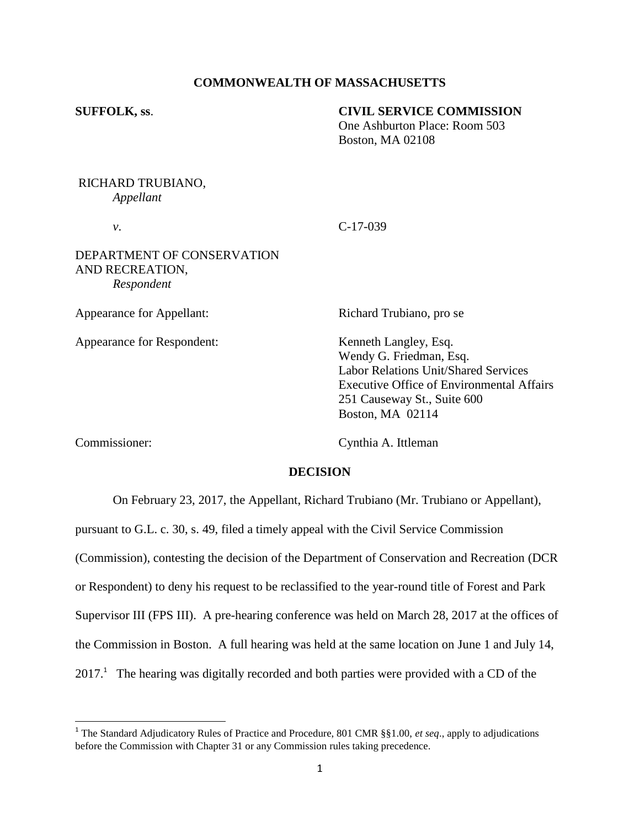## **COMMONWEALTH OF MASSACHUSETTS**

#### **SUFFOLK, ss**. **CIVIL SERVICE COMMISSION**

One Ashburton Place: Room 503 Boston, MA 02108

# RICHARD TRUBIANO, *Appellant*

*v*. C-17-039

## DEPARTMENT OF CONSERVATION AND RECREATION, *Respondent*

Appearance for Appellant: Richard Trubiano, pro se

Appearance for Respondent: Kenneth Langley, Esq.

Wendy G. Friedman, Esq. Labor Relations Unit/Shared Services Executive Office of Environmental Affairs 251 Causeway St., Suite 600 Boston, MA 02114

Commissioner: Cynthia A. Ittleman

# **DECISION**

On February 23, 2017, the Appellant, Richard Trubiano (Mr. Trubiano or Appellant),

pursuant to G.L. c. 30, s. 49, filed a timely appeal with the Civil Service Commission (Commission), contesting the decision of the Department of Conservation and Recreation (DCR or Respondent) to deny his request to be reclassified to the year-round title of Forest and Park Supervisor III (FPS III). A pre-hearing conference was held on March 28, 2017 at the offices of the Commission in Boston. A full hearing was held at the same location on June 1 and July 14,  $2017<sup>1</sup>$  The hearing was digitally recorded and both parties were provided with a CD of the

 1 The Standard Adjudicatory Rules of Practice and Procedure, 801 CMR §§1.00, *et seq*., apply to adjudications before the Commission with Chapter 31 or any Commission rules taking precedence.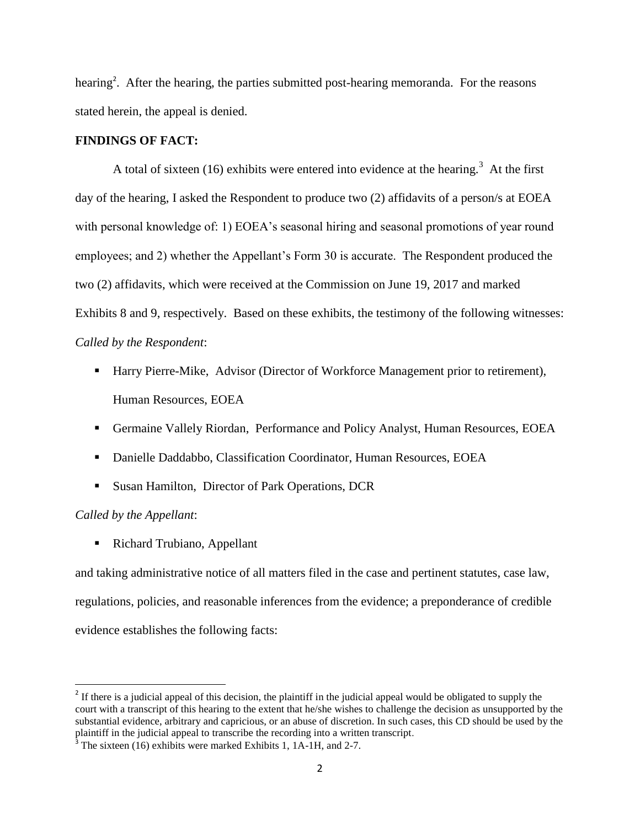hearing<sup>2</sup>. After the hearing, the parties submitted post-hearing memoranda. For the reasons stated herein, the appeal is denied.

### **FINDINGS OF FACT:**

A total of sixteen (16) exhibits were entered into evidence at the hearing.<sup>3</sup> At the first day of the hearing, I asked the Respondent to produce two (2) affidavits of a person/s at EOEA with personal knowledge of: 1) EOEA's seasonal hiring and seasonal promotions of year round employees; and 2) whether the Appellant's Form 30 is accurate. The Respondent produced the two (2) affidavits, which were received at the Commission on June 19, 2017 and marked Exhibits 8 and 9, respectively. Based on these exhibits, the testimony of the following witnesses: *Called by the Respondent*:

- Harry Pierre-Mike, Advisor (Director of Workforce Management prior to retirement), Human Resources, EOEA
- Germaine Vallely Riordan, Performance and Policy Analyst, Human Resources, EOEA
- Danielle Daddabbo, Classification Coordinator, Human Resources, EOEA
- **Susan Hamilton, Director of Park Operations, DCR**

# *Called by the Appellant*:

 $\overline{a}$ 

■ Richard Trubiano, Appellant

and taking administrative notice of all matters filed in the case and pertinent statutes, case law, regulations, policies, and reasonable inferences from the evidence; a preponderance of credible evidence establishes the following facts:

 $2<sup>2</sup>$  If there is a judicial appeal of this decision, the plaintiff in the judicial appeal would be obligated to supply the court with a transcript of this hearing to the extent that he/she wishes to challenge the decision as unsupported by the substantial evidence, arbitrary and capricious, or an abuse of discretion. In such cases, this CD should be used by the plaintiff in the judicial appeal to transcribe the recording into a written transcript.

 $3$  The sixteen (16) exhibits were marked Exhibits 1, 1A-1H, and 2-7.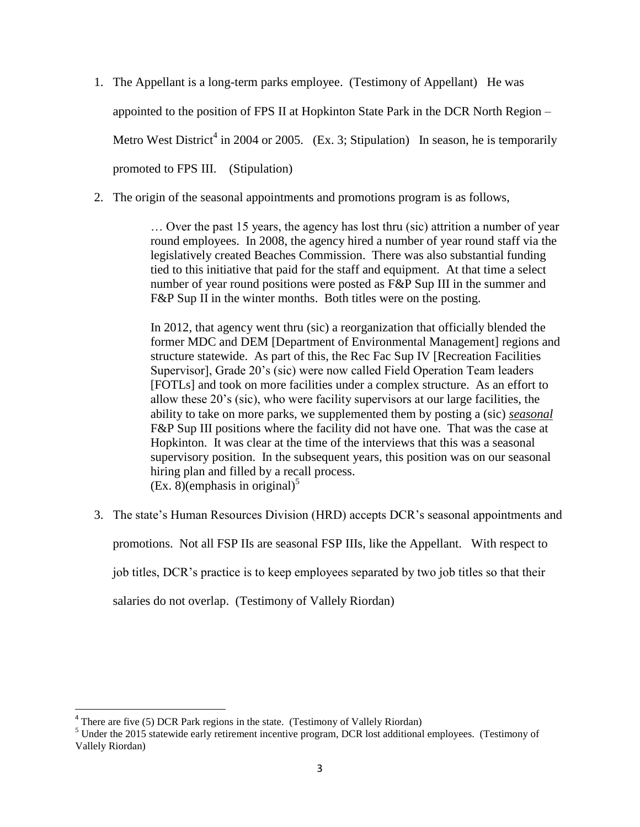- 1. The Appellant is a long-term parks employee. (Testimony of Appellant) He was appointed to the position of FPS II at Hopkinton State Park in the DCR North Region – Metro West District<sup>4</sup> in 2004 or 2005. (Ex. 3; Stipulation) In season, he is temporarily promoted to FPS III. (Stipulation)
- 2. The origin of the seasonal appointments and promotions program is as follows,

… Over the past 15 years, the agency has lost thru (sic) attrition a number of year round employees. In 2008, the agency hired a number of year round staff via the legislatively created Beaches Commission. There was also substantial funding tied to this initiative that paid for the staff and equipment. At that time a select number of year round positions were posted as F&P Sup III in the summer and F&P Sup II in the winter months. Both titles were on the posting.

In 2012, that agency went thru (sic) a reorganization that officially blended the former MDC and DEM [Department of Environmental Management] regions and structure statewide. As part of this, the Rec Fac Sup IV [Recreation Facilities Supervisor], Grade 20's (sic) were now called Field Operation Team leaders [FOTLs] and took on more facilities under a complex structure. As an effort to allow these 20's (sic), who were facility supervisors at our large facilities, the ability to take on more parks, we supplemented them by posting a (sic) *seasonal* F&P Sup III positions where the facility did not have one. That was the case at Hopkinton. It was clear at the time of the interviews that this was a seasonal supervisory position. In the subsequent years, this position was on our seasonal hiring plan and filled by a recall process.  $(Ex. 8)$ (emphasis in original)<sup>5</sup>

3. The state's Human Resources Division (HRD) accepts DCR's seasonal appointments and promotions. Not all FSP IIs are seasonal FSP IIIs, like the Appellant. With respect to job titles, DCR's practice is to keep employees separated by two job titles so that their salaries do not overlap. (Testimony of Vallely Riordan)

 $\overline{\phantom{a}}$ 

 $4$  There are five (5) DCR Park regions in the state. (Testimony of Vallely Riordan)

<sup>&</sup>lt;sup>5</sup> Under the 2015 statewide early retirement incentive program, DCR lost additional employees. (Testimony of Vallely Riordan)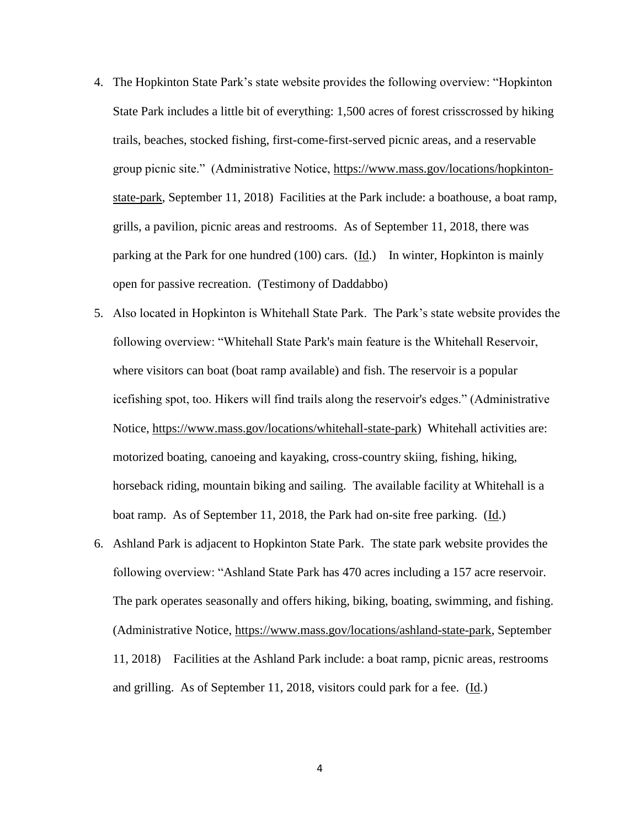- 4. The Hopkinton State Park's state website provides the following overview: "Hopkinton State Park includes a little bit of everything: 1,500 acres of forest crisscrossed by hiking trails, beaches, stocked fishing, first-come-first-served picnic areas, and a reservable group picnic site." (Administrative Notice, [https://www.mass.gov/locations/hopkinton](https://www.mass.gov/locations/hopkinton-state-park)[state-park,](https://www.mass.gov/locations/hopkinton-state-park) September 11, 2018) Facilities at the Park include: a boathouse, a boat ramp, grills, a pavilion, picnic areas and restrooms. As of September 11, 2018, there was parking at the Park for one hundred (100) cars. (Id.) In winter, Hopkinton is mainly open for passive recreation. (Testimony of Daddabbo)
- 5. Also located in Hopkinton is Whitehall State Park. The Park's state website provides the following overview: "Whitehall State Park's main feature is the Whitehall Reservoir, where visitors can boat (boat ramp available) and fish. The reservoir is a popular icefishing spot, too. Hikers will find trails along the reservoir's edges." (Administrative Notice, [https://www.mass.gov/locations/whitehall-state-park\)](https://www.mass.gov/locations/whitehall-state-park) Whitehall activities are: motorized boating, canoeing and kayaking, cross-country skiing, fishing, hiking, horseback riding, mountain biking and sailing. The available facility at Whitehall is a boat ramp. As of September 11, 2018, the Park had on-site free parking. (Id.)
- 6. Ashland Park is adjacent to Hopkinton State Park. The state park website provides the following overview: "Ashland State Park has 470 acres including a 157 acre reservoir. The park operates seasonally and offers hiking, biking, boating, swimming, and fishing. (Administrative Notice, [https://www.mass.gov/locations/ashland-state-park,](https://www.mass.gov/locations/ashland-state-park) September 11, 2018) Facilities at the Ashland Park include: a boat ramp, picnic areas, restrooms and grilling. As of September 11, 2018, visitors could park for a fee. (Id.)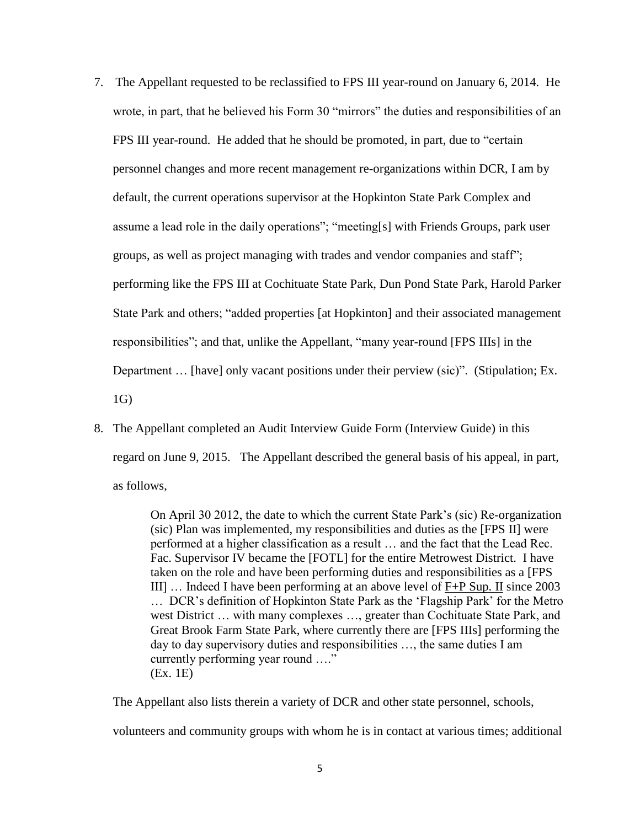- 7. The Appellant requested to be reclassified to FPS III year-round on January 6, 2014. He wrote, in part, that he believed his Form 30 "mirrors" the duties and responsibilities of an FPS III year-round. He added that he should be promoted, in part, due to "certain personnel changes and more recent management re-organizations within DCR, I am by default, the current operations supervisor at the Hopkinton State Park Complex and assume a lead role in the daily operations"; "meeting[s] with Friends Groups, park user groups, as well as project managing with trades and vendor companies and staff"; performing like the FPS III at Cochituate State Park, Dun Pond State Park, Harold Parker State Park and others; "added properties [at Hopkinton] and their associated management responsibilities"; and that, unlike the Appellant, "many year-round [FPS IIIs] in the Department ... [have] only vacant positions under their perview (sic)". (Stipulation; Ex. 1G)
- 8. The Appellant completed an Audit Interview Guide Form (Interview Guide) in this regard on June 9, 2015. The Appellant described the general basis of his appeal, in part, as follows,

On April 30 2012, the date to which the current State Park's (sic) Re-organization (sic) Plan was implemented, my responsibilities and duties as the [FPS II] were performed at a higher classification as a result … and the fact that the Lead Rec. Fac. Supervisor IV became the [FOTL] for the entire Metrowest District. I have taken on the role and have been performing duties and responsibilities as a [FPS III] … Indeed I have been performing at an above level of F+P Sup. II since 2003 … DCR's definition of Hopkinton State Park as the 'Flagship Park' for the Metro west District … with many complexes …, greater than Cochituate State Park, and Great Brook Farm State Park, where currently there are [FPS IIIs] performing the day to day supervisory duties and responsibilities …, the same duties I am currently performing year round …." (Ex. 1E)

The Appellant also lists therein a variety of DCR and other state personnel, schools, volunteers and community groups with whom he is in contact at various times; additional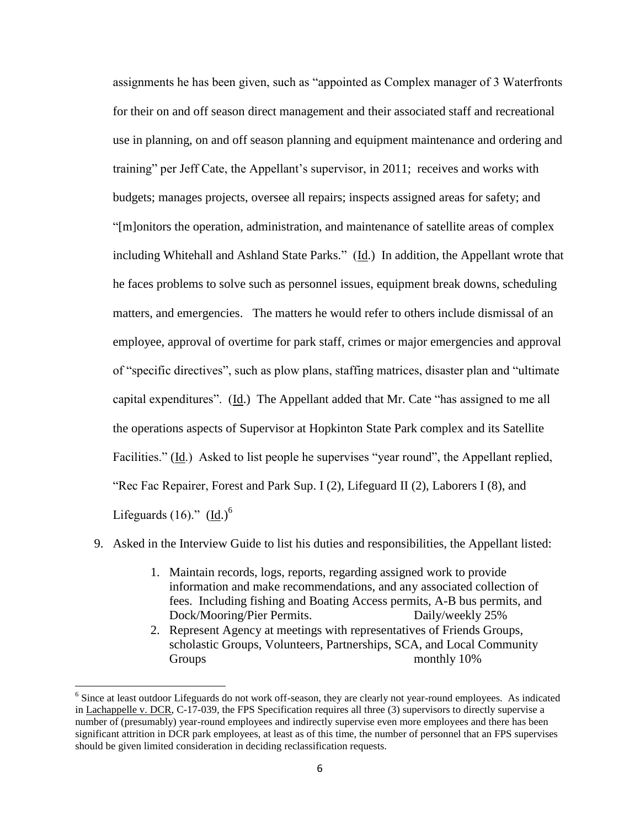assignments he has been given, such as "appointed as Complex manager of 3 Waterfronts for their on and off season direct management and their associated staff and recreational use in planning, on and off season planning and equipment maintenance and ordering and training" per Jeff Cate, the Appellant's supervisor, in 2011; receives and works with budgets; manages projects, oversee all repairs; inspects assigned areas for safety; and "[m]onitors the operation, administration, and maintenance of satellite areas of complex including Whitehall and Ashland State Parks." (Id.) In addition, the Appellant wrote that he faces problems to solve such as personnel issues, equipment break downs, scheduling matters, and emergencies. The matters he would refer to others include dismissal of an employee, approval of overtime for park staff, crimes or major emergencies and approval of "specific directives", such as plow plans, staffing matrices, disaster plan and "ultimate capital expenditures". (Id.) The Appellant added that Mr. Cate "has assigned to me all the operations aspects of Supervisor at Hopkinton State Park complex and its Satellite Facilities." (Id.) Asked to list people he supervises "year round", the Appellant replied, "Rec Fac Repairer, Forest and Park Sup. I (2), Lifeguard II (2), Laborers I (8), and Lifeguards  $(16)$ ."  $(\underline{Id})^6$ 

#### 9. Asked in the Interview Guide to list his duties and responsibilities, the Appellant listed:

- 1. Maintain records, logs, reports, regarding assigned work to provide information and make recommendations, and any associated collection of fees. Including fishing and Boating Access permits, A-B bus permits, and Dock/Mooring/Pier Permits. Daily/weekly 25%
- 2. Represent Agency at meetings with representatives of Friends Groups, scholastic Groups, Volunteers, Partnerships, SCA, and Local Community Groups monthly 10%

 $\overline{a}$ 

<sup>&</sup>lt;sup>6</sup> Since at least outdoor Lifeguards do not work off-season, they are clearly not year-round employees. As indicated in Lachappelle v. DCR, C-17-039, the FPS Specification requires all three (3) supervisors to directly supervise a number of (presumably) year-round employees and indirectly supervise even more employees and there has been significant attrition in DCR park employees, at least as of this time, the number of personnel that an FPS supervises should be given limited consideration in deciding reclassification requests.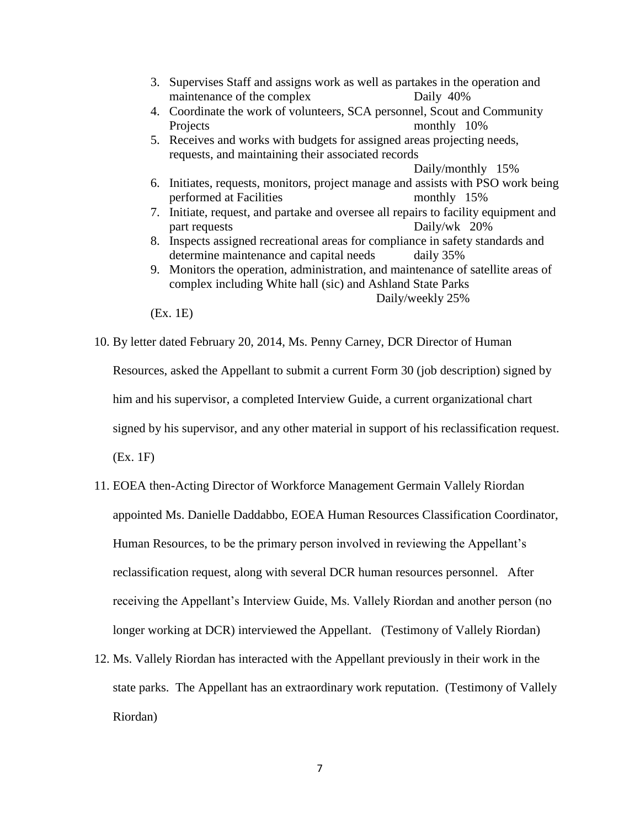- 3. Supervises Staff and assigns work as well as partakes in the operation and maintenance of the complex Daily 40%
- 4. Coordinate the work of volunteers, SCA personnel, Scout and Community Projects monthly 10%
- 5. Receives and works with budgets for assigned areas projecting needs, requests, and maintaining their associated records

Daily/monthly 15%

- 6. Initiates, requests, monitors, project manage and assists with PSO work being performed at Facilities monthly 15%
- 7. Initiate, request, and partake and oversee all repairs to facility equipment and part requests Daily/wk 20%
- 8. Inspects assigned recreational areas for compliance in safety standards and determine maintenance and capital needs daily 35%
- 9. Monitors the operation, administration, and maintenance of satellite areas of complex including White hall (sic) and Ashland State Parks Daily/weekly 25%

10. By letter dated February 20, 2014, Ms. Penny Carney, DCR Director of Human

Resources, asked the Appellant to submit a current Form 30 (job description) signed by him and his supervisor, a completed Interview Guide, a current organizational chart signed by his supervisor, and any other material in support of his reclassification request.

(Ex. 1F)

- 11. EOEA then-Acting Director of Workforce Management Germain Vallely Riordan appointed Ms. Danielle Daddabbo, EOEA Human Resources Classification Coordinator, Human Resources, to be the primary person involved in reviewing the Appellant's reclassification request, along with several DCR human resources personnel. After receiving the Appellant's Interview Guide, Ms. Vallely Riordan and another person (no longer working at DCR) interviewed the Appellant. (Testimony of Vallely Riordan)
- 12. Ms. Vallely Riordan has interacted with the Appellant previously in their work in the state parks. The Appellant has an extraordinary work reputation. (Testimony of Vallely Riordan)

<sup>(</sup>Ex. 1E)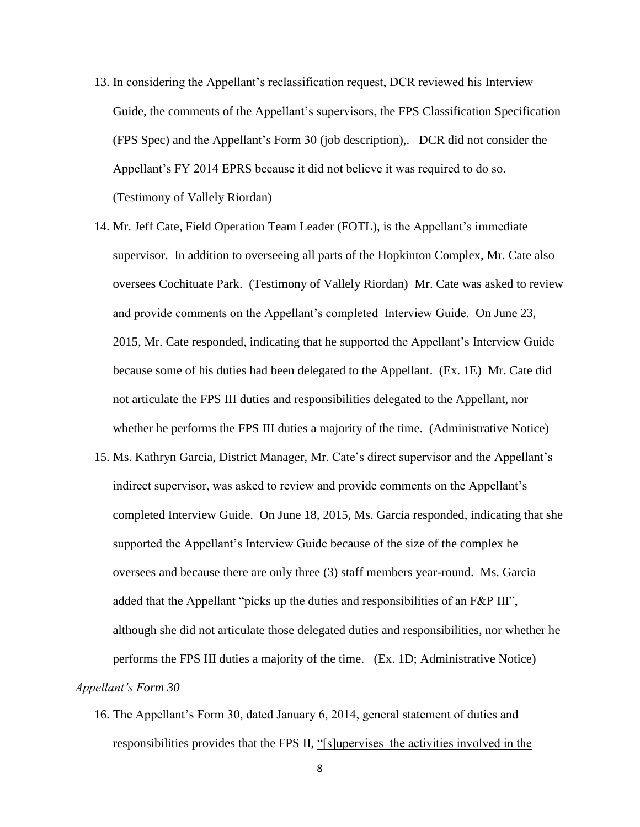- 13. In considering the Appellant's reclassification request, DCR reviewed his Interview Guide, the comments of the Appellant's supervisors, the FPS Classification Specification (FPS Spec) and the Appellant's Form 30 (job description),. DCR did not consider the Appellant's FY 2014 EPRS because it did not believe it was required to do so. (Testimony of Vallely Riordan)
- 14. Mr. Jeff Cate, Field Operation Team Leader (FOTL), is the Appellant's immediate supervisor. In addition to overseeing all parts of the Hopkinton Complex, Mr. Cate also oversees Cochituate Park. (Testimony of Vallely Riordan) Mr. Cate was asked to review and provide comments on the Appellant's completed Interview Guide. On June 23, 2015, Mr. Cate responded, indicating that he supported the Appellant's Interview Guide because some of his duties had been delegated to the Appellant. (Ex. 1E) Mr. Cate did not articulate the FPS III duties and responsibilities delegated to the Appellant, nor whether he performs the FPS III duties a majority of the time. (Administrative Notice)
- 15. Ms. Kathryn Garcia, District Manager, Mr. Cate's direct supervisor and the Appellant's indirect supervisor, was asked to review and provide comments on the Appellant's completed Interview Guide. On June 18, 2015, Ms. Garcia responded, indicating that she supported the Appellant's Interview Guide because of the size of the complex he oversees and because there are only three (3) staff members year-round. Ms. Garcia added that the Appellant "picks up the duties and responsibilities of an F&P III", although she did not articulate those delegated duties and responsibilities, nor whether he performs the FPS III duties a majority of the time. (Ex. 1D; Administrative Notice) *Appellant's Form 30* 
	- 16. The Appellant's Form 30, dated January 6, 2014, general statement of duties and responsibilities provides that the FPS II, "[s]upervises the activities involved in the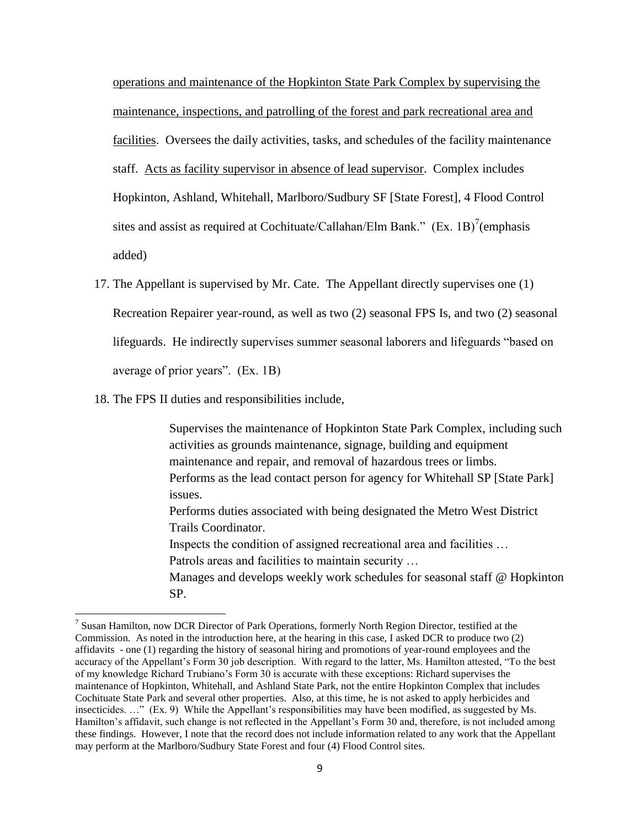operations and maintenance of the Hopkinton State Park Complex by supervising the maintenance, inspections, and patrolling of the forest and park recreational area and facilities. Oversees the daily activities, tasks, and schedules of the facility maintenance staff. Acts as facility supervisor in absence of lead supervisor. Complex includes Hopkinton, Ashland, Whitehall, Marlboro/Sudbury SF [State Forest], 4 Flood Control sites and assist as required at Cochituate/Callahan/Elm Bank."  $(Ex. 1B)^7$ (emphasis added)

- 17. The Appellant is supervised by Mr. Cate. The Appellant directly supervises one (1) Recreation Repairer year-round, as well as two (2) seasonal FPS Is, and two (2) seasonal lifeguards. He indirectly supervises summer seasonal laborers and lifeguards "based on average of prior years". (Ex. 1B)
- 18. The FPS II duties and responsibilities include,

 $\overline{\phantom{a}}$ 

Supervises the maintenance of Hopkinton State Park Complex, including such activities as grounds maintenance, signage, building and equipment maintenance and repair, and removal of hazardous trees or limbs. Performs as the lead contact person for agency for Whitehall SP [State Park] issues. Performs duties associated with being designated the Metro West District Trails Coordinator. Inspects the condition of assigned recreational area and facilities … Patrols areas and facilities to maintain security … Manages and develops weekly work schedules for seasonal staff @ Hopkinton SP.

<sup>&</sup>lt;sup>7</sup> Susan Hamilton, now DCR Director of Park Operations, formerly North Region Director, testified at the Commission. As noted in the introduction here, at the hearing in this case, I asked DCR to produce two (2) affidavits - one (1) regarding the history of seasonal hiring and promotions of year-round employees and the accuracy of the Appellant's Form 30 job description. With regard to the latter, Ms. Hamilton attested, "To the best of my knowledge Richard Trubiano's Form 30 is accurate with these exceptions: Richard supervises the maintenance of Hopkinton, Whitehall, and Ashland State Park, not the entire Hopkinton Complex that includes Cochituate State Park and several other properties. Also, at this time, he is not asked to apply herbicides and insecticides. …" (Ex. 9) While the Appellant's responsibilities may have been modified, as suggested by Ms. Hamilton's affidavit, such change is not reflected in the Appellant's Form 30 and, therefore, is not included among these findings. However, I note that the record does not include information related to any work that the Appellant may perform at the Marlboro/Sudbury State Forest and four (4) Flood Control sites.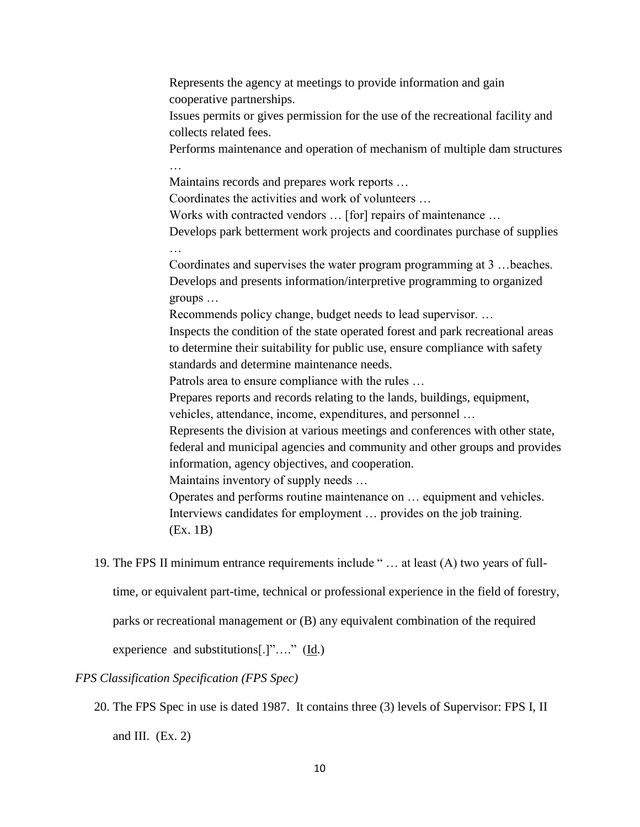Represents the agency at meetings to provide information and gain cooperative partnerships. Issues permits or gives permission for the use of the recreational facility and collects related fees. Performs maintenance and operation of mechanism of multiple dam structures … Maintains records and prepares work reports … Coordinates the activities and work of volunteers … Works with contracted vendors … [for] repairs of maintenance … Develops park betterment work projects and coordinates purchase of supplies … Coordinates and supervises the water program programming at 3 …beaches. Develops and presents information/interpretive programming to organized groups … Recommends policy change, budget needs to lead supervisor. … Inspects the condition of the state operated forest and park recreational areas to determine their suitability for public use, ensure compliance with safety standards and determine maintenance needs. Patrols area to ensure compliance with the rules … Prepares reports and records relating to the lands, buildings, equipment, vehicles, attendance, income, expenditures, and personnel … Represents the division at various meetings and conferences with other state, federal and municipal agencies and community and other groups and provides information, agency objectives, and cooperation. Maintains inventory of supply needs … Operates and performs routine maintenance on … equipment and vehicles. Interviews candidates for employment … provides on the job training. (Ex. 1B) 19. The FPS II minimum entrance requirements include " … at least (A) two years of fulltime, or equivalent part-time, technical or professional experience in the field of forestry,

parks or recreational management or (B) any equivalent combination of the required

experience and substitutions[.]"…." (Id.)

## *FPS Classification Specification (FPS Spec)*

20. The FPS Spec in use is dated 1987. It contains three (3) levels of Supervisor: FPS I, II and III.  $(Ex. 2)$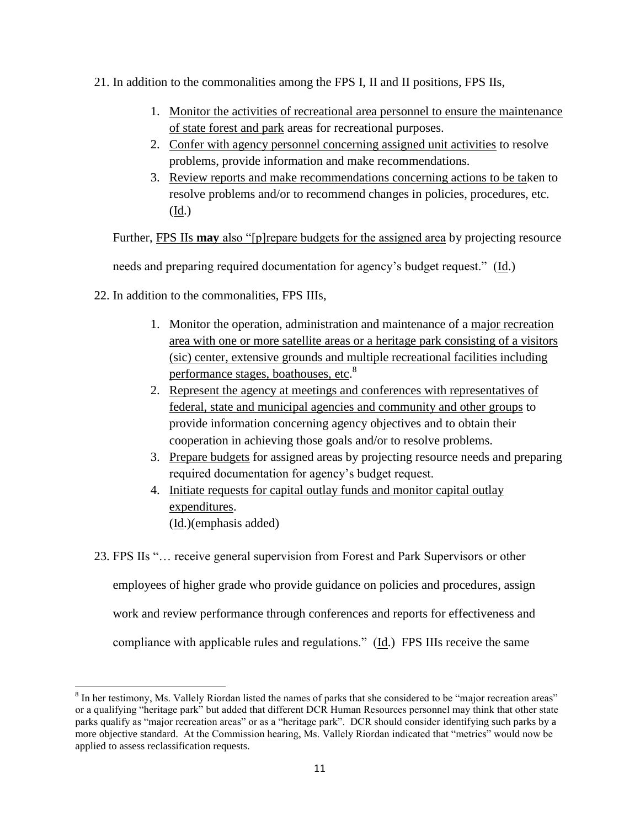- 21. In addition to the commonalities among the FPS I, II and II positions, FPS IIs,
	- 1. Monitor the activities of recreational area personnel to ensure the maintenance of state forest and park areas for recreational purposes.
	- 2. Confer with agency personnel concerning assigned unit activities to resolve problems, provide information and make recommendations.
	- 3. Review reports and make recommendations concerning actions to be taken to resolve problems and/or to recommend changes in policies, procedures, etc. (Id.)

Further, FPS IIs **may** also "[p]repare budgets for the assigned area by projecting resource

needs and preparing required documentation for agency's budget request." (Id.)

22. In addition to the commonalities, FPS IIIs,

 $\overline{a}$ 

- 1. Monitor the operation, administration and maintenance of a major recreation area with one or more satellite areas or a heritage park consisting of a visitors (sic) center, extensive grounds and multiple recreational facilities including performance stages, boathouses, etc.<sup>8</sup>
- 2. Represent the agency at meetings and conferences with representatives of federal, state and municipal agencies and community and other groups to provide information concerning agency objectives and to obtain their cooperation in achieving those goals and/or to resolve problems.
- 3. Prepare budgets for assigned areas by projecting resource needs and preparing required documentation for agency's budget request.
- 4. Initiate requests for capital outlay funds and monitor capital outlay expenditures. (Id.)(emphasis added)
- 23. FPS IIs "… receive general supervision from Forest and Park Supervisors or other employees of higher grade who provide guidance on policies and procedures, assign work and review performance through conferences and reports for effectiveness and compliance with applicable rules and regulations."  $(\underline{Id})$ . FPS IIIs receive the same

<sup>&</sup>lt;sup>8</sup> In her testimony, Ms. Vallely Riordan listed the names of parks that she considered to be "major recreation areas" or a qualifying "heritage park" but added that different DCR Human Resources personnel may think that other state parks qualify as "major recreation areas" or as a "heritage park". DCR should consider identifying such parks by a more objective standard. At the Commission hearing, Ms. Vallely Riordan indicated that "metrics" would now be applied to assess reclassification requests.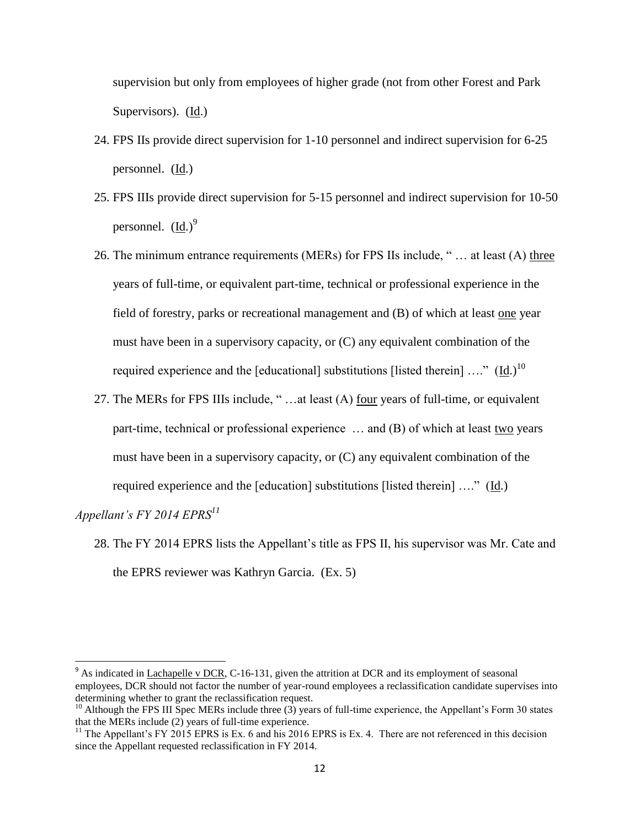supervision but only from employees of higher grade (not from other Forest and Park Supervisors). (Id.)

- 24. FPS IIs provide direct supervision for 1-10 personnel and indirect supervision for 6-25 personnel. (Id.)
- 25. FPS IIIs provide direct supervision for 5-15 personnel and indirect supervision for 10-50 personnel.  $(Id.)^9$
- 26. The minimum entrance requirements (MERs) for FPS IIs include, " … at least (A) three years of full-time, or equivalent part-time, technical or professional experience in the field of forestry, parks or recreational management and (B) of which at least one year must have been in a supervisory capacity, or (C) any equivalent combination of the required experience and the [educational] substitutions [listed therein]  $\dots$ " (Id.)<sup>10</sup>
- 27. The MERs for FPS IIIs include, " …at least (A) four years of full-time, or equivalent part-time, technical or professional experience ... and (B) of which at least two years must have been in a supervisory capacity, or (C) any equivalent combination of the required experience and the [education] substitutions [listed therein] …." (Id.)

*Appellant's FY 2014 EPRS<sup>11</sup>*

 $\overline{\phantom{a}}$ 

28. The FY 2014 EPRS lists the Appellant's title as FPS II, his supervisor was Mr. Cate and the EPRS reviewer was Kathryn Garcia. (Ex. 5)

 $9<sup>9</sup>$  As indicated in Lachapelle v DCR, C-16-131, given the attrition at DCR and its employment of seasonal employees, DCR should not factor the number of year-round employees a reclassification candidate supervises into determining whether to grant the reclassification request.

 $10$  Although the FPS III Spec MERs include three (3) years of full-time experience, the Appellant's Form 30 states that the MERs include (2) years of full-time experience.

<sup>&</sup>lt;sup>11</sup> The Appellant's FY 2015 EPRS is Ex. 6 and his 2016 EPRS is Ex. 4. There are not referenced in this decision since the Appellant requested reclassification in FY 2014.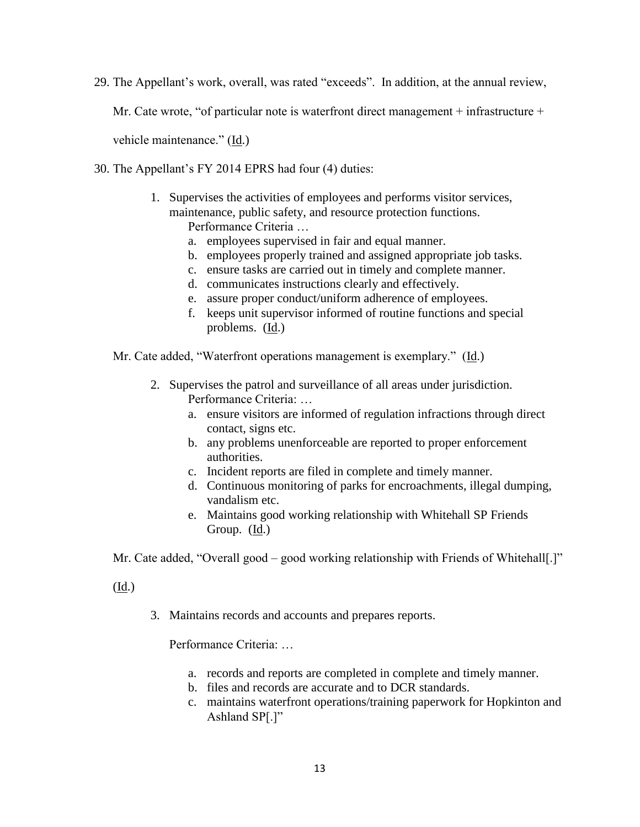29. The Appellant's work, overall, was rated "exceeds". In addition, at the annual review,

Mr. Cate wrote, "of particular note is waterfront direct management  $+$  infrastructure  $+$ 

vehicle maintenance." (Id.)

- 30. The Appellant's FY 2014 EPRS had four (4) duties:
	- 1. Supervises the activities of employees and performs visitor services, maintenance, public safety, and resource protection functions. Performance Criteria …
		- a. employees supervised in fair and equal manner.
		- b. employees properly trained and assigned appropriate job tasks.
		- c. ensure tasks are carried out in timely and complete manner.
		- d. communicates instructions clearly and effectively.
		- e. assure proper conduct/uniform adherence of employees.
		- f. keeps unit supervisor informed of routine functions and special problems. (Id.)

Mr. Cate added, "Waterfront operations management is exemplary." (Id.)

- 2. Supervises the patrol and surveillance of all areas under jurisdiction. Performance Criteria: …
	- a. ensure visitors are informed of regulation infractions through direct contact, signs etc.
	- b. any problems unenforceable are reported to proper enforcement authorities.
	- c. Incident reports are filed in complete and timely manner.
	- d. Continuous monitoring of parks for encroachments, illegal dumping, vandalism etc.
	- e. Maintains good working relationship with Whitehall SP Friends Group.  $(\underline{Id})$ .

Mr. Cate added, "Overall good – good working relationship with Friends of Whitehall[.]"

(Id.)

3. Maintains records and accounts and prepares reports.

Performance Criteria: …

- a. records and reports are completed in complete and timely manner.
- b. files and records are accurate and to DCR standards.
- c. maintains waterfront operations/training paperwork for Hopkinton and Ashland SP[.]"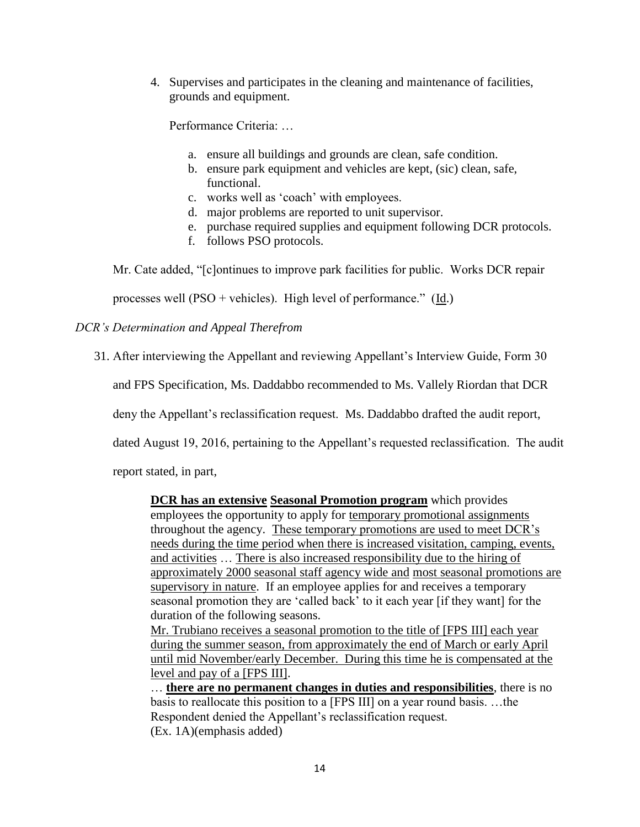4. Supervises and participates in the cleaning and maintenance of facilities, grounds and equipment.

Performance Criteria: …

- a. ensure all buildings and grounds are clean, safe condition.
- b. ensure park equipment and vehicles are kept, (sic) clean, safe, functional.
- c. works well as 'coach' with employees.
- d. major problems are reported to unit supervisor.
- e. purchase required supplies and equipment following DCR protocols.
- f. follows PSO protocols.

Mr. Cate added, "[c]ontinues to improve park facilities for public. Works DCR repair

processes well (PSO + vehicles). High level of performance." (Id.)

# *DCR's Determination and Appeal Therefrom*

31. After interviewing the Appellant and reviewing Appellant's Interview Guide, Form 30

and FPS Specification, Ms. Daddabbo recommended to Ms. Vallely Riordan that DCR

deny the Appellant's reclassification request. Ms. Daddabbo drafted the audit report,

dated August 19, 2016, pertaining to the Appellant's requested reclassification. The audit

report stated, in part,

**DCR has an extensive Seasonal Promotion program** which provides employees the opportunity to apply for temporary promotional assignments throughout the agency. These temporary promotions are used to meet DCR's needs during the time period when there is increased visitation, camping, events, and activities … There is also increased responsibility due to the hiring of approximately 2000 seasonal staff agency wide and most seasonal promotions are supervisory in nature. If an employee applies for and receives a temporary seasonal promotion they are 'called back' to it each year [if they want] for the duration of the following seasons.

Mr. Trubiano receives a seasonal promotion to the title of [FPS III] each year during the summer season, from approximately the end of March or early April until mid November/early December. During this time he is compensated at the level and pay of a [FPS III].

… **there are no permanent changes in duties and responsibilities**, there is no basis to reallocate this position to a [FPS III] on a year round basis. …the Respondent denied the Appellant's reclassification request. (Ex. 1A)(emphasis added)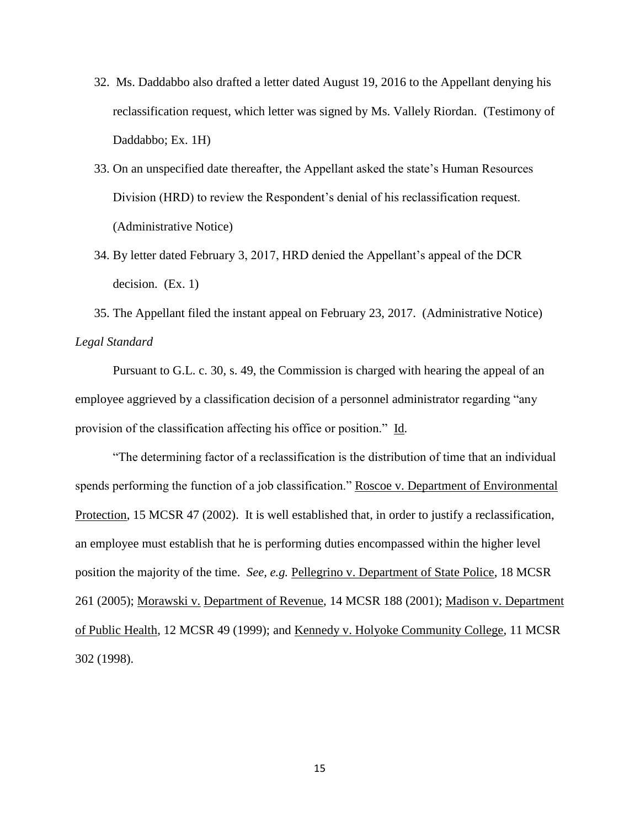- 32. Ms. Daddabbo also drafted a letter dated August 19, 2016 to the Appellant denying his reclassification request, which letter was signed by Ms. Vallely Riordan. (Testimony of Daddabbo; Ex. 1H)
- 33. On an unspecified date thereafter, the Appellant asked the state's Human Resources Division (HRD) to review the Respondent's denial of his reclassification request. (Administrative Notice)
- 34. By letter dated February 3, 2017, HRD denied the Appellant's appeal of the DCR decision. (Ex. 1)

35. The Appellant filed the instant appeal on February 23, 2017. (Administrative Notice) *Legal Standard*

Pursuant to G.L. c. 30, s. 49, the Commission is charged with hearing the appeal of an employee aggrieved by a classification decision of a personnel administrator regarding "any provision of the classification affecting his office or position." Id.

"The determining factor of a reclassification is the distribution of time that an individual spends performing the function of a job classification." Roscoe v. Department of Environmental Protection, 15 MCSR 47 (2002). It is well established that, in order to justify a reclassification, an employee must establish that he is performing duties encompassed within the higher level position the majority of the time. *See, e.g.* Pellegrino v. Department of State Police, 18 MCSR 261 (2005); Morawski v. Department of Revenue, 14 MCSR 188 (2001); Madison v. Department of Public Health, 12 MCSR 49 (1999); and Kennedy v. Holyoke Community College, 11 MCSR 302 (1998).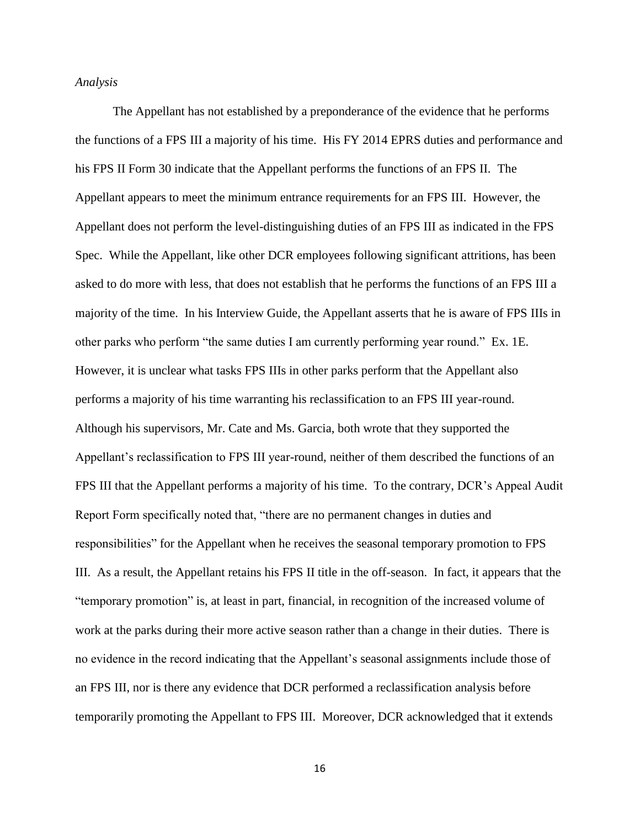### *Analysis*

The Appellant has not established by a preponderance of the evidence that he performs the functions of a FPS III a majority of his time. His FY 2014 EPRS duties and performance and his FPS II Form 30 indicate that the Appellant performs the functions of an FPS II. The Appellant appears to meet the minimum entrance requirements for an FPS III. However, the Appellant does not perform the level-distinguishing duties of an FPS III as indicated in the FPS Spec. While the Appellant, like other DCR employees following significant attritions, has been asked to do more with less, that does not establish that he performs the functions of an FPS III a majority of the time. In his Interview Guide, the Appellant asserts that he is aware of FPS IIIs in other parks who perform "the same duties I am currently performing year round." Ex. 1E. However, it is unclear what tasks FPS IIIs in other parks perform that the Appellant also performs a majority of his time warranting his reclassification to an FPS III year-round. Although his supervisors, Mr. Cate and Ms. Garcia, both wrote that they supported the Appellant's reclassification to FPS III year-round, neither of them described the functions of an FPS III that the Appellant performs a majority of his time. To the contrary, DCR's Appeal Audit Report Form specifically noted that, "there are no permanent changes in duties and responsibilities" for the Appellant when he receives the seasonal temporary promotion to FPS III. As a result, the Appellant retains his FPS II title in the off-season. In fact, it appears that the "temporary promotion" is, at least in part, financial, in recognition of the increased volume of work at the parks during their more active season rather than a change in their duties. There is no evidence in the record indicating that the Appellant's seasonal assignments include those of an FPS III, nor is there any evidence that DCR performed a reclassification analysis before temporarily promoting the Appellant to FPS III. Moreover, DCR acknowledged that it extends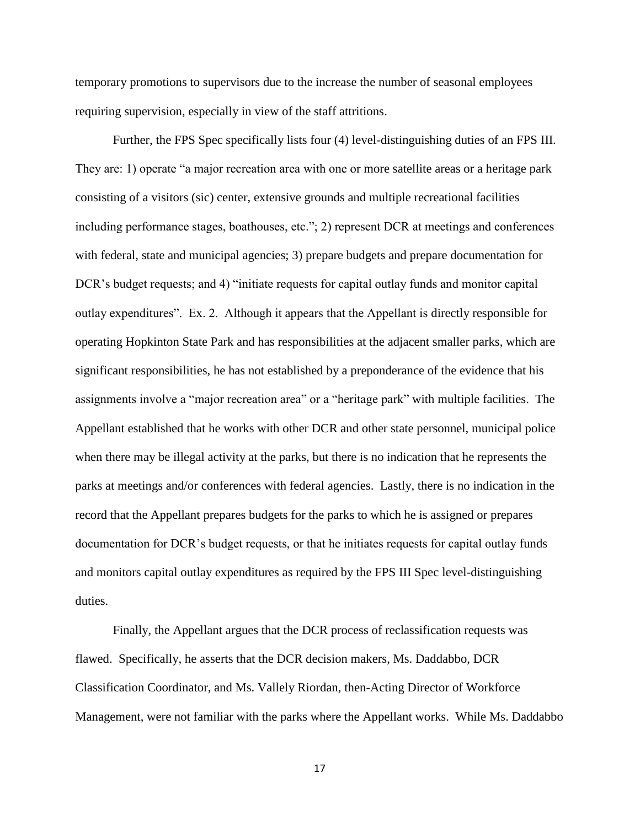temporary promotions to supervisors due to the increase the number of seasonal employees requiring supervision, especially in view of the staff attritions.

Further, the FPS Spec specifically lists four (4) level-distinguishing duties of an FPS III. They are: 1) operate "a major recreation area with one or more satellite areas or a heritage park consisting of a visitors (sic) center, extensive grounds and multiple recreational facilities including performance stages, boathouses, etc."; 2) represent DCR at meetings and conferences with federal, state and municipal agencies; 3) prepare budgets and prepare documentation for DCR's budget requests; and 4) "initiate requests for capital outlay funds and monitor capital outlay expenditures". Ex. 2. Although it appears that the Appellant is directly responsible for operating Hopkinton State Park and has responsibilities at the adjacent smaller parks, which are significant responsibilities, he has not established by a preponderance of the evidence that his assignments involve a "major recreation area" or a "heritage park" with multiple facilities. The Appellant established that he works with other DCR and other state personnel, municipal police when there may be illegal activity at the parks, but there is no indication that he represents the parks at meetings and/or conferences with federal agencies. Lastly, there is no indication in the record that the Appellant prepares budgets for the parks to which he is assigned or prepares documentation for DCR's budget requests, or that he initiates requests for capital outlay funds and monitors capital outlay expenditures as required by the FPS III Spec level-distinguishing duties.

Finally, the Appellant argues that the DCR process of reclassification requests was flawed. Specifically, he asserts that the DCR decision makers, Ms. Daddabbo, DCR Classification Coordinator, and Ms. Vallely Riordan, then-Acting Director of Workforce Management, were not familiar with the parks where the Appellant works. While Ms. Daddabbo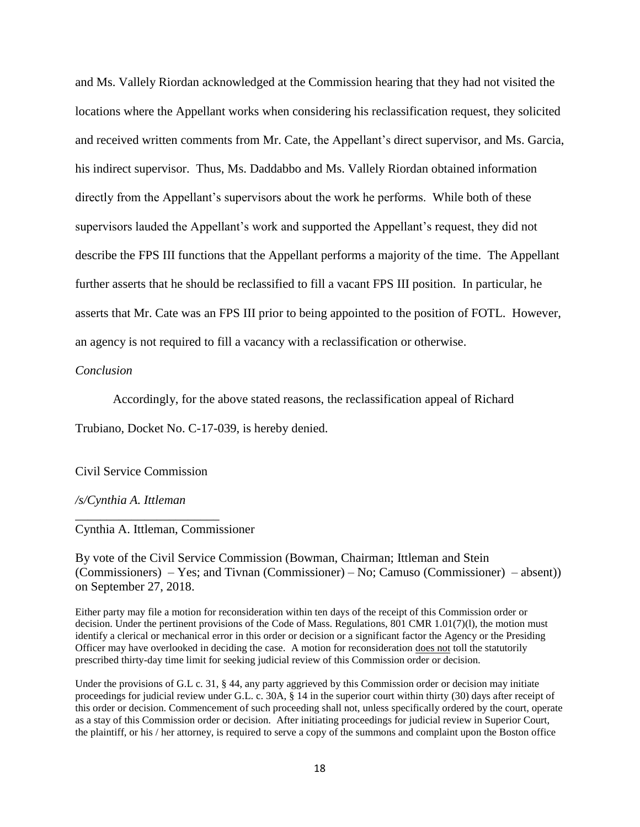and Ms. Vallely Riordan acknowledged at the Commission hearing that they had not visited the locations where the Appellant works when considering his reclassification request, they solicited and received written comments from Mr. Cate, the Appellant's direct supervisor, and Ms. Garcia, his indirect supervisor. Thus, Ms. Daddabbo and Ms. Vallely Riordan obtained information directly from the Appellant's supervisors about the work he performs. While both of these supervisors lauded the Appellant's work and supported the Appellant's request, they did not describe the FPS III functions that the Appellant performs a majority of the time. The Appellant further asserts that he should be reclassified to fill a vacant FPS III position. In particular, he asserts that Mr. Cate was an FPS III prior to being appointed to the position of FOTL. However, an agency is not required to fill a vacancy with a reclassification or otherwise.

#### *Conclusion*

Accordingly, for the above stated reasons, the reclassification appeal of Richard

Trubiano, Docket No. C-17-039, is hereby denied.

Civil Service Commission

\_\_\_\_\_\_\_\_\_\_\_\_\_\_\_\_\_\_\_\_\_\_\_

*/s/Cynthia A. Ittleman*

Cynthia A. Ittleman, Commissioner

By vote of the Civil Service Commission (Bowman, Chairman; Ittleman and Stein (Commissioners) – Yes; and Tivnan (Commissioner) – No; Camuso (Commissioner) – absent)) on September 27, 2018.

Either party may file a motion for reconsideration within ten days of the receipt of this Commission order or decision. Under the pertinent provisions of the Code of Mass. Regulations, 801 CMR 1.01(7)(l), the motion must identify a clerical or mechanical error in this order or decision or a significant factor the Agency or the Presiding Officer may have overlooked in deciding the case. A motion for reconsideration does not toll the statutorily prescribed thirty-day time limit for seeking judicial review of this Commission order or decision.

Under the provisions of G.L c. 31, § 44, any party aggrieved by this Commission order or decision may initiate proceedings for judicial review under G.L. c. 30A, § 14 in the superior court within thirty (30) days after receipt of this order or decision. Commencement of such proceeding shall not, unless specifically ordered by the court, operate as a stay of this Commission order or decision. After initiating proceedings for judicial review in Superior Court, the plaintiff, or his / her attorney, is required to serve a copy of the summons and complaint upon the Boston office